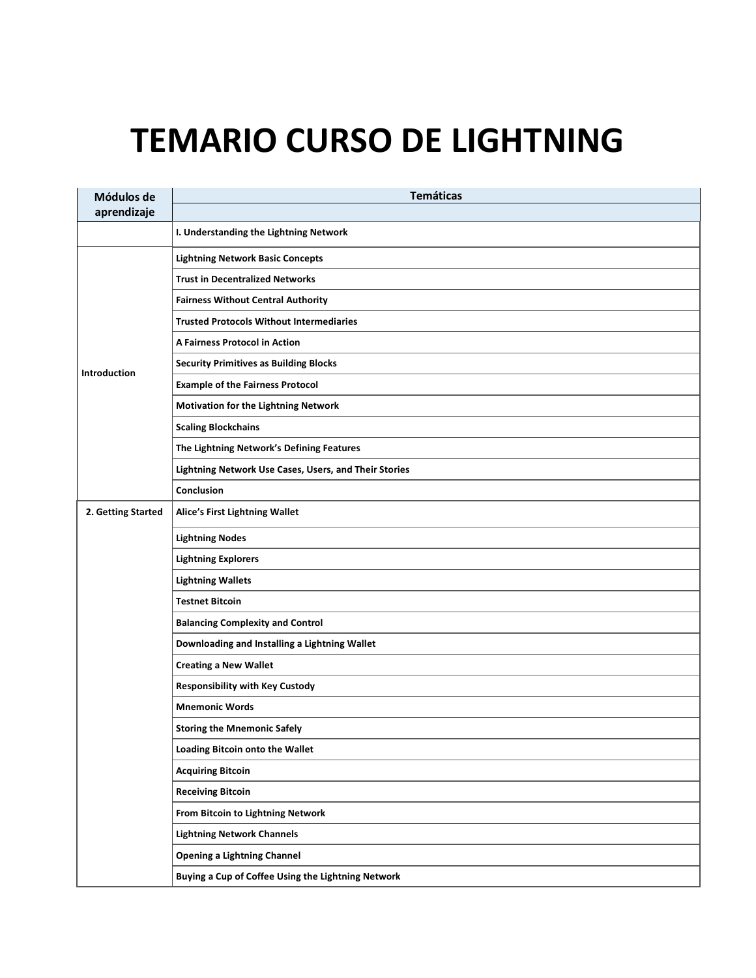## **TEMARIO CURSO DE LIGHTNING**

| Módulos de          | <b>Temáticas</b>                                      |
|---------------------|-------------------------------------------------------|
| aprendizaje         |                                                       |
|                     | I. Understanding the Lightning Network                |
|                     | <b>Lightning Network Basic Concepts</b>               |
|                     | <b>Trust in Decentralized Networks</b>                |
|                     | <b>Fairness Without Central Authority</b>             |
|                     | <b>Trusted Protocols Without Intermediaries</b>       |
|                     | A Fairness Protocol in Action                         |
| <b>Introduction</b> | <b>Security Primitives as Building Blocks</b>         |
|                     | <b>Example of the Fairness Protocol</b>               |
|                     | <b>Motivation for the Lightning Network</b>           |
|                     | <b>Scaling Blockchains</b>                            |
|                     | The Lightning Network's Defining Features             |
|                     | Lightning Network Use Cases, Users, and Their Stories |
|                     | Conclusion                                            |
| 2. Getting Started  | <b>Alice's First Lightning Wallet</b>                 |
|                     | <b>Lightning Nodes</b>                                |
|                     | <b>Lightning Explorers</b>                            |
|                     | <b>Lightning Wallets</b>                              |
|                     | <b>Testnet Bitcoin</b>                                |
|                     | <b>Balancing Complexity and Control</b>               |
|                     | Downloading and Installing a Lightning Wallet         |
|                     | <b>Creating a New Wallet</b>                          |
|                     | <b>Responsibility with Key Custody</b>                |
|                     | <b>Mnemonic Words</b>                                 |
|                     | <b>Storing the Mnemonic Safely</b>                    |
|                     | Loading Bitcoin onto the Wallet                       |
|                     | <b>Acquiring Bitcoin</b>                              |
|                     | <b>Receiving Bitcoin</b>                              |
|                     | From Bitcoin to Lightning Network                     |
|                     | <b>Lightning Network Channels</b>                     |
|                     | <b>Opening a Lightning Channel</b>                    |
|                     | Buying a Cup of Coffee Using the Lightning Network    |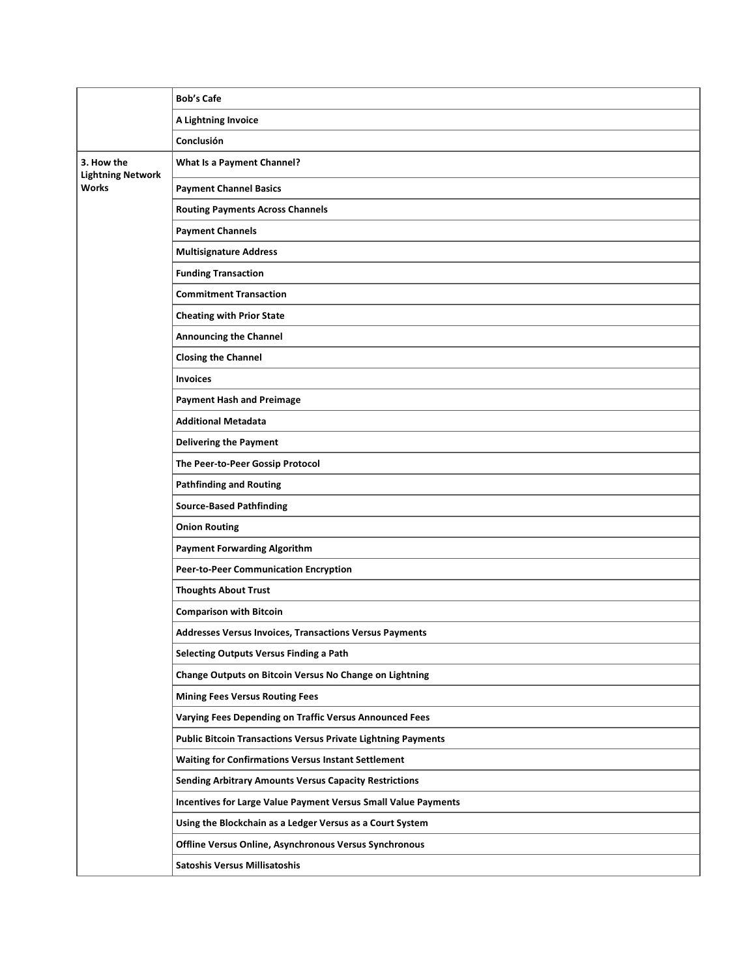|                                        | <b>Bob's Cafe</b>                                                    |
|----------------------------------------|----------------------------------------------------------------------|
|                                        | A Lightning Invoice                                                  |
|                                        | Conclusión                                                           |
| 3. How the<br><b>Lightning Network</b> | What Is a Payment Channel?                                           |
| <b>Works</b>                           | <b>Payment Channel Basics</b>                                        |
|                                        | <b>Routing Payments Across Channels</b>                              |
|                                        | <b>Payment Channels</b>                                              |
|                                        | <b>Multisignature Address</b>                                        |
|                                        | <b>Funding Transaction</b>                                           |
|                                        | <b>Commitment Transaction</b>                                        |
|                                        | <b>Cheating with Prior State</b>                                     |
|                                        | <b>Announcing the Channel</b>                                        |
|                                        | <b>Closing the Channel</b>                                           |
|                                        | <b>Invoices</b>                                                      |
|                                        | <b>Payment Hash and Preimage</b>                                     |
|                                        | <b>Additional Metadata</b>                                           |
|                                        | <b>Delivering the Payment</b>                                        |
|                                        | The Peer-to-Peer Gossip Protocol                                     |
|                                        | <b>Pathfinding and Routing</b>                                       |
|                                        | <b>Source-Based Pathfinding</b>                                      |
|                                        | <b>Onion Routing</b>                                                 |
|                                        | <b>Payment Forwarding Algorithm</b>                                  |
|                                        | Peer-to-Peer Communication Encryption                                |
|                                        | <b>Thoughts About Trust</b>                                          |
|                                        | <b>Comparison with Bitcoin</b>                                       |
|                                        | Addresses Versus Invoices, Transactions Versus Payments              |
|                                        | Selecting Outputs Versus Finding a Path                              |
|                                        | Change Outputs on Bitcoin Versus No Change on Lightning              |
|                                        | <b>Mining Fees Versus Routing Fees</b>                               |
|                                        | Varying Fees Depending on Traffic Versus Announced Fees              |
|                                        | <b>Public Bitcoin Transactions Versus Private Lightning Payments</b> |
|                                        | <b>Waiting for Confirmations Versus Instant Settlement</b>           |
|                                        | <b>Sending Arbitrary Amounts Versus Capacity Restrictions</b>        |
|                                        | Incentives for Large Value Payment Versus Small Value Payments       |
|                                        | Using the Blockchain as a Ledger Versus as a Court System            |
|                                        | Offline Versus Online, Asynchronous Versus Synchronous               |
|                                        | <b>Satoshis Versus Millisatoshis</b>                                 |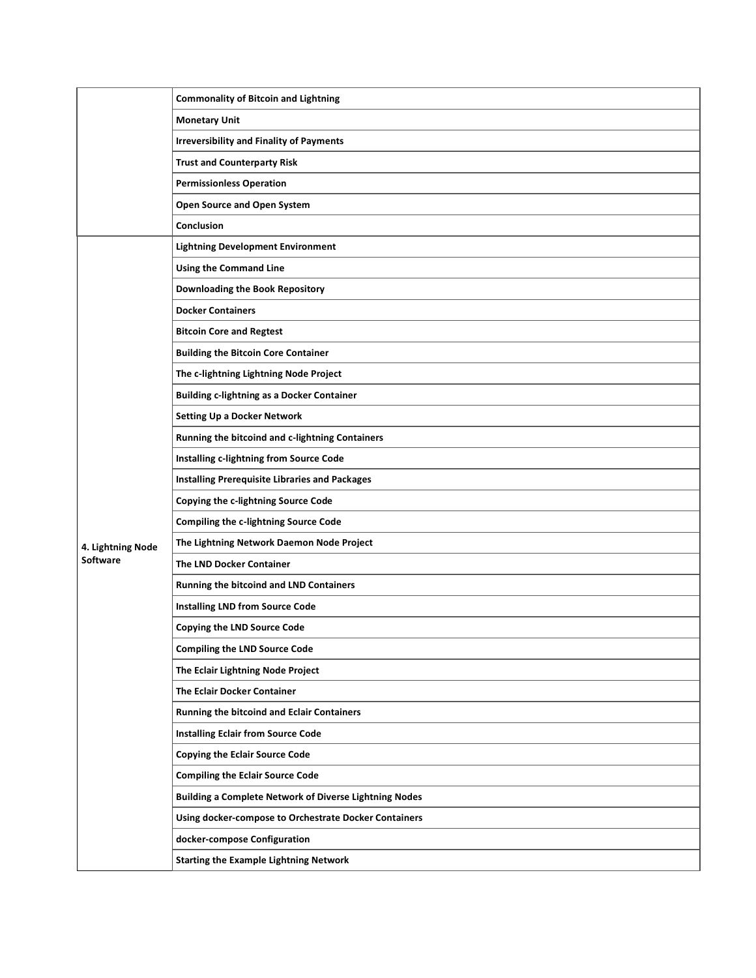|                   | <b>Commonality of Bitcoin and Lightning</b>                   |
|-------------------|---------------------------------------------------------------|
|                   | <b>Monetary Unit</b>                                          |
|                   | <b>Irreversibility and Finality of Payments</b>               |
|                   | <b>Trust and Counterparty Risk</b>                            |
|                   | <b>Permissionless Operation</b>                               |
|                   | Open Source and Open System                                   |
|                   | Conclusion                                                    |
|                   | <b>Lightning Development Environment</b>                      |
|                   | <b>Using the Command Line</b>                                 |
|                   | Downloading the Book Repository                               |
|                   | <b>Docker Containers</b>                                      |
|                   | <b>Bitcoin Core and Regtest</b>                               |
|                   | <b>Building the Bitcoin Core Container</b>                    |
|                   | The c-lightning Lightning Node Project                        |
|                   | <b>Building c-lightning as a Docker Container</b>             |
|                   | <b>Setting Up a Docker Network</b>                            |
|                   | Running the bitcoind and c-lightning Containers               |
|                   | Installing c-lightning from Source Code                       |
|                   | <b>Installing Prerequisite Libraries and Packages</b>         |
|                   | Copying the c-lightning Source Code                           |
|                   | Compiling the c-lightning Source Code                         |
| 4. Lightning Node | The Lightning Network Daemon Node Project                     |
| Software          | <b>The LND Docker Container</b>                               |
|                   | Running the bitcoind and LND Containers                       |
|                   | <b>Installing LND from Source Code</b>                        |
|                   | <b>Copying the LND Source Code</b>                            |
|                   | <b>Compiling the LND Source Code</b>                          |
|                   | The Eclair Lightning Node Project                             |
|                   | The Eclair Docker Container                                   |
|                   | <b>Running the bitcoind and Eclair Containers</b>             |
|                   | <b>Installing Eclair from Source Code</b>                     |
|                   | <b>Copying the Eclair Source Code</b>                         |
|                   | <b>Compiling the Eclair Source Code</b>                       |
|                   | <b>Building a Complete Network of Diverse Lightning Nodes</b> |
|                   | Using docker-compose to Orchestrate Docker Containers         |
|                   | docker-compose Configuration                                  |
|                   | <b>Starting the Example Lightning Network</b>                 |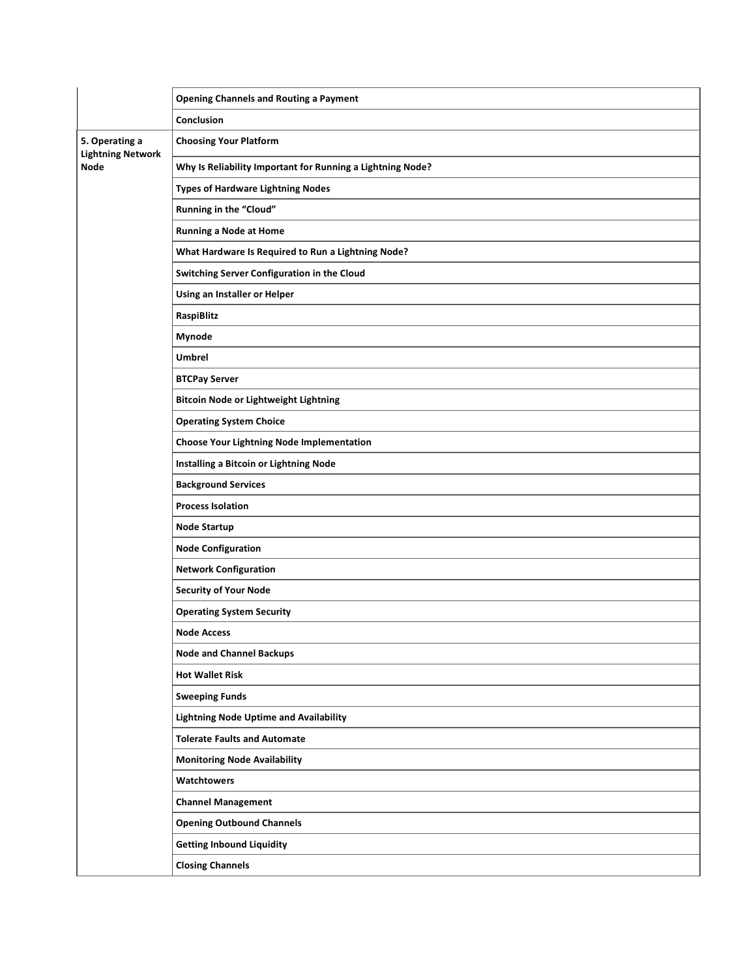|                                                    | <b>Opening Channels and Routing a Payment</b>              |
|----------------------------------------------------|------------------------------------------------------------|
|                                                    | Conclusion                                                 |
| 5. Operating a<br><b>Lightning Network</b><br>Node | <b>Choosing Your Platform</b>                              |
|                                                    | Why Is Reliability Important for Running a Lightning Node? |
|                                                    | <b>Types of Hardware Lightning Nodes</b>                   |
|                                                    | Running in the "Cloud"                                     |
|                                                    | <b>Running a Node at Home</b>                              |
|                                                    | What Hardware Is Required to Run a Lightning Node?         |
|                                                    | Switching Server Configuration in the Cloud                |
|                                                    | Using an Installer or Helper                               |
|                                                    | RaspiBlitz                                                 |
|                                                    | Mynode                                                     |
|                                                    | <b>Umbrel</b>                                              |
|                                                    | <b>BTCPay Server</b>                                       |
|                                                    | <b>Bitcoin Node or Lightweight Lightning</b>               |
|                                                    | <b>Operating System Choice</b>                             |
|                                                    | <b>Choose Your Lightning Node Implementation</b>           |
|                                                    | Installing a Bitcoin or Lightning Node                     |
|                                                    | <b>Background Services</b>                                 |
|                                                    | <b>Process Isolation</b>                                   |
|                                                    | <b>Node Startup</b>                                        |
|                                                    | <b>Node Configuration</b>                                  |
|                                                    | <b>Network Configuration</b>                               |
|                                                    | <b>Security of Your Node</b>                               |
|                                                    | <b>Operating System Security</b>                           |
|                                                    | <b>Node Access</b>                                         |
|                                                    | <b>Node and Channel Backups</b>                            |
|                                                    | <b>Hot Wallet Risk</b>                                     |
|                                                    | <b>Sweeping Funds</b>                                      |
|                                                    | <b>Lightning Node Uptime and Availability</b>              |
|                                                    | <b>Tolerate Faults and Automate</b>                        |
|                                                    | <b>Monitoring Node Availability</b>                        |
|                                                    | Watchtowers                                                |
|                                                    | <b>Channel Management</b>                                  |
|                                                    | <b>Opening Outbound Channels</b>                           |
|                                                    | <b>Getting Inbound Liquidity</b>                           |
|                                                    | <b>Closing Channels</b>                                    |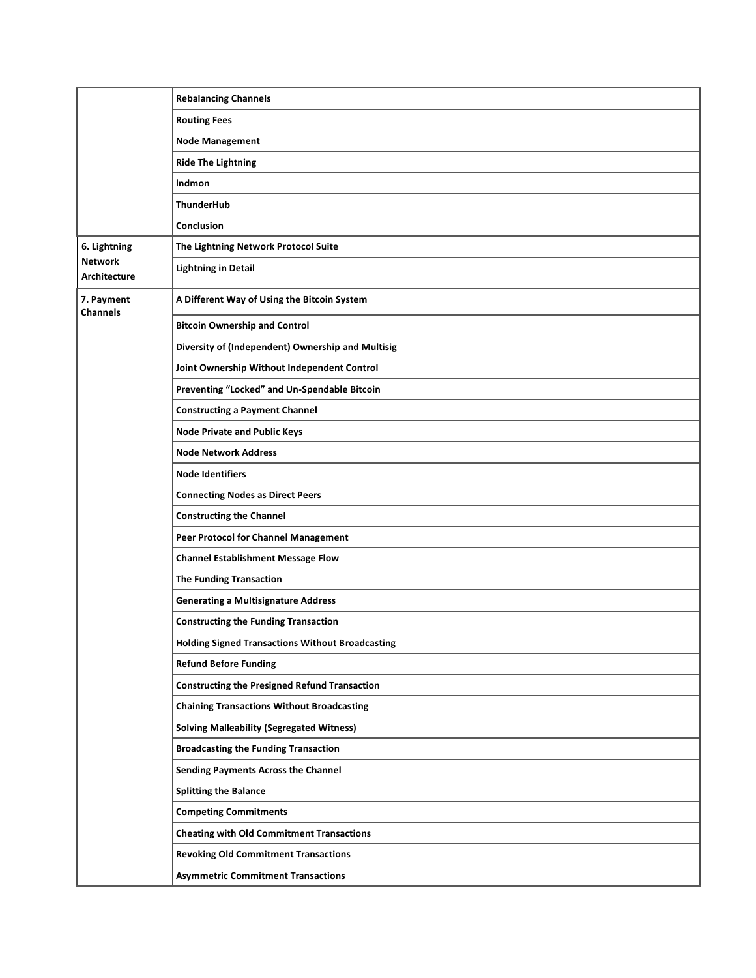|                                       | <b>Rebalancing Channels</b>                             |
|---------------------------------------|---------------------------------------------------------|
|                                       | <b>Routing Fees</b>                                     |
|                                       | <b>Node Management</b>                                  |
|                                       | <b>Ride The Lightning</b>                               |
|                                       | Indmon                                                  |
|                                       | <b>ThunderHub</b>                                       |
|                                       | Conclusion                                              |
| 6. Lightning                          | The Lightning Network Protocol Suite                    |
| <b>Network</b><br><b>Architecture</b> | <b>Lightning in Detail</b>                              |
| 7. Payment<br><b>Channels</b>         | A Different Way of Using the Bitcoin System             |
|                                       | <b>Bitcoin Ownership and Control</b>                    |
|                                       | Diversity of (Independent) Ownership and Multisig       |
|                                       | Joint Ownership Without Independent Control             |
|                                       | Preventing "Locked" and Un-Spendable Bitcoin            |
|                                       | <b>Constructing a Payment Channel</b>                   |
|                                       | <b>Node Private and Public Keys</b>                     |
|                                       | <b>Node Network Address</b>                             |
|                                       | <b>Node Identifiers</b>                                 |
|                                       | <b>Connecting Nodes as Direct Peers</b>                 |
|                                       | <b>Constructing the Channel</b>                         |
|                                       | Peer Protocol for Channel Management                    |
|                                       | <b>Channel Establishment Message Flow</b>               |
|                                       | <b>The Funding Transaction</b>                          |
|                                       | <b>Generating a Multisignature Address</b>              |
|                                       | <b>Constructing the Funding Transaction</b>             |
|                                       | <b>Holding Signed Transactions Without Broadcasting</b> |
|                                       | <b>Refund Before Funding</b>                            |
|                                       | <b>Constructing the Presigned Refund Transaction</b>    |
|                                       | <b>Chaining Transactions Without Broadcasting</b>       |
|                                       | <b>Solving Malleability (Segregated Witness)</b>        |
|                                       | <b>Broadcasting the Funding Transaction</b>             |
|                                       | <b>Sending Payments Across the Channel</b>              |
|                                       | <b>Splitting the Balance</b>                            |
|                                       | <b>Competing Commitments</b>                            |
|                                       | <b>Cheating with Old Commitment Transactions</b>        |
|                                       | <b>Revoking Old Commitment Transactions</b>             |
|                                       | <b>Asymmetric Commitment Transactions</b>               |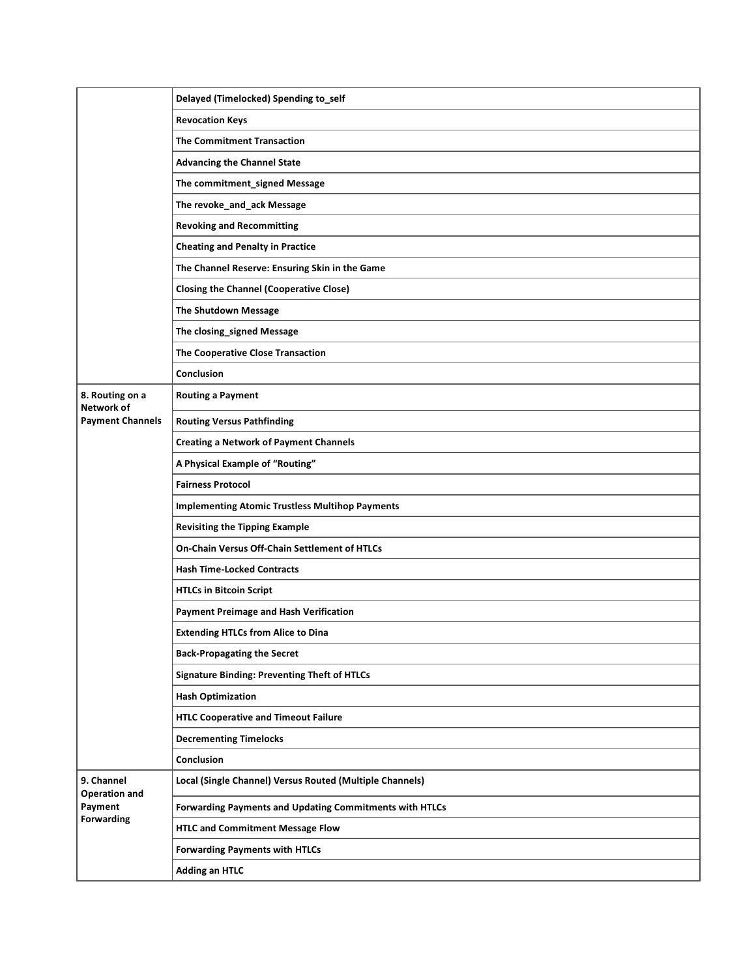|                                               | Delayed (Timelocked) Spending to_self                    |
|-----------------------------------------------|----------------------------------------------------------|
|                                               | <b>Revocation Keys</b>                                   |
|                                               | <b>The Commitment Transaction</b>                        |
|                                               | <b>Advancing the Channel State</b>                       |
|                                               | The commitment_signed Message                            |
|                                               | The revoke_and_ack Message                               |
|                                               | <b>Revoking and Recommitting</b>                         |
|                                               | <b>Cheating and Penalty in Practice</b>                  |
|                                               | The Channel Reserve: Ensuring Skin in the Game           |
|                                               | <b>Closing the Channel (Cooperative Close)</b>           |
|                                               | The Shutdown Message                                     |
|                                               | The closing_signed Message                               |
|                                               | The Cooperative Close Transaction                        |
|                                               | Conclusion                                               |
| 8. Routing on a<br>Network of                 | <b>Routing a Payment</b>                                 |
| <b>Payment Channels</b>                       | <b>Routing Versus Pathfinding</b>                        |
|                                               | <b>Creating a Network of Payment Channels</b>            |
|                                               | A Physical Example of "Routing"                          |
|                                               | <b>Fairness Protocol</b>                                 |
|                                               | <b>Implementing Atomic Trustless Multihop Payments</b>   |
|                                               | <b>Revisiting the Tipping Example</b>                    |
|                                               | On-Chain Versus Off-Chain Settlement of HTLCs            |
|                                               | <b>Hash Time-Locked Contracts</b>                        |
|                                               | <b>HTLCs in Bitcoin Script</b>                           |
|                                               | <b>Payment Preimage and Hash Verification</b>            |
|                                               | <b>Extending HTLCs from Alice to Dina</b>                |
|                                               | <b>Back-Propagating the Secret</b>                       |
|                                               | <b>Signature Binding: Preventing Theft of HTLCs</b>      |
|                                               | <b>Hash Optimization</b>                                 |
|                                               | <b>HTLC Cooperative and Timeout Failure</b>              |
|                                               | <b>Decrementing Timelocks</b>                            |
|                                               | Conclusion                                               |
| 9. Channel<br><b>Operation and</b><br>Payment | Local (Single Channel) Versus Routed (Multiple Channels) |
|                                               | Forwarding Payments and Updating Commitments with HTLCs  |
| Forwarding                                    | <b>HTLC and Commitment Message Flow</b>                  |
|                                               |                                                          |
|                                               | <b>Forwarding Payments with HTLCs</b>                    |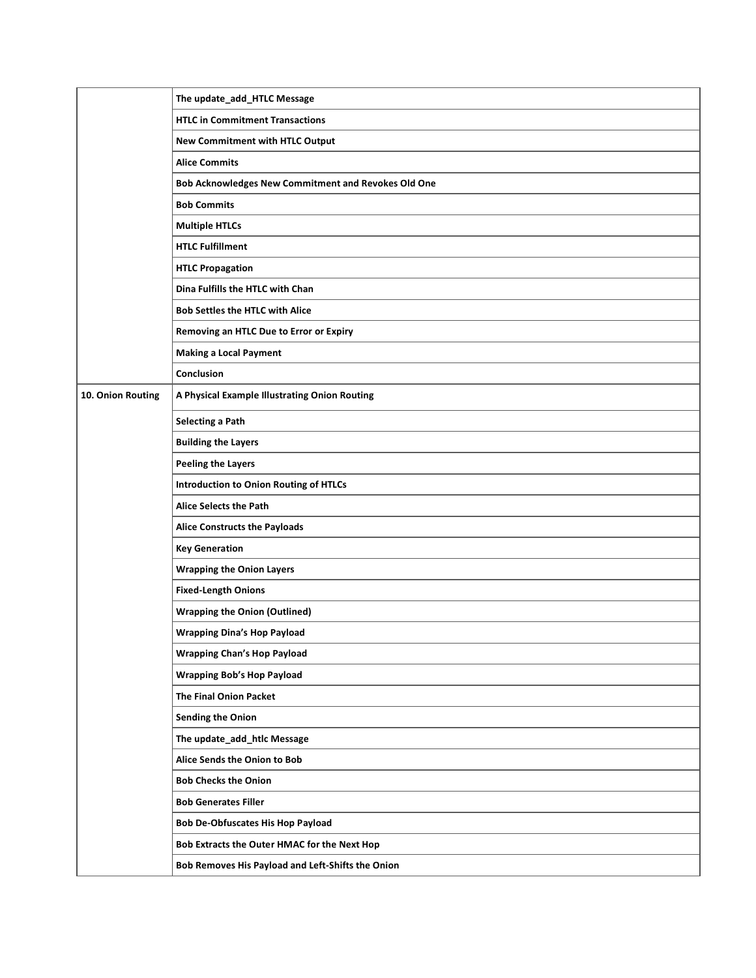|                   | The update_add_HTLC Message                         |
|-------------------|-----------------------------------------------------|
|                   | <b>HTLC in Commitment Transactions</b>              |
|                   | New Commitment with HTLC Output                     |
|                   | <b>Alice Commits</b>                                |
|                   | Bob Acknowledges New Commitment and Revokes Old One |
|                   | <b>Bob Commits</b>                                  |
|                   | <b>Multiple HTLCs</b>                               |
|                   | <b>HTLC Fulfillment</b>                             |
|                   | <b>HTLC Propagation</b>                             |
|                   | Dina Fulfills the HTLC with Chan                    |
|                   | <b>Bob Settles the HTLC with Alice</b>              |
|                   | Removing an HTLC Due to Error or Expiry             |
|                   | <b>Making a Local Payment</b>                       |
|                   | Conclusion                                          |
| 10. Onion Routing | A Physical Example Illustrating Onion Routing       |
|                   | <b>Selecting a Path</b>                             |
|                   | <b>Building the Layers</b>                          |
|                   | <b>Peeling the Layers</b>                           |
|                   | <b>Introduction to Onion Routing of HTLCs</b>       |
|                   | Alice Selects the Path                              |
|                   | <b>Alice Constructs the Payloads</b>                |
|                   | <b>Key Generation</b>                               |
|                   | <b>Wrapping the Onion Layers</b>                    |
|                   | <b>Fixed-Length Onions</b>                          |
|                   | <b>Wrapping the Onion (Outlined)</b>                |
|                   | <b>Wrapping Dina's Hop Payload</b>                  |
|                   | <b>Wrapping Chan's Hop Payload</b>                  |
|                   | <b>Wrapping Bob's Hop Payload</b>                   |
|                   | <b>The Final Onion Packet</b>                       |
|                   | <b>Sending the Onion</b>                            |
|                   | The update_add_htlc Message                         |
|                   | Alice Sends the Onion to Bob                        |
|                   | <b>Bob Checks the Onion</b>                         |
|                   | <b>Bob Generates Filler</b>                         |
|                   | <b>Bob De-Obfuscates His Hop Payload</b>            |
|                   | Bob Extracts the Outer HMAC for the Next Hop        |
|                   | Bob Removes His Payload and Left-Shifts the Onion   |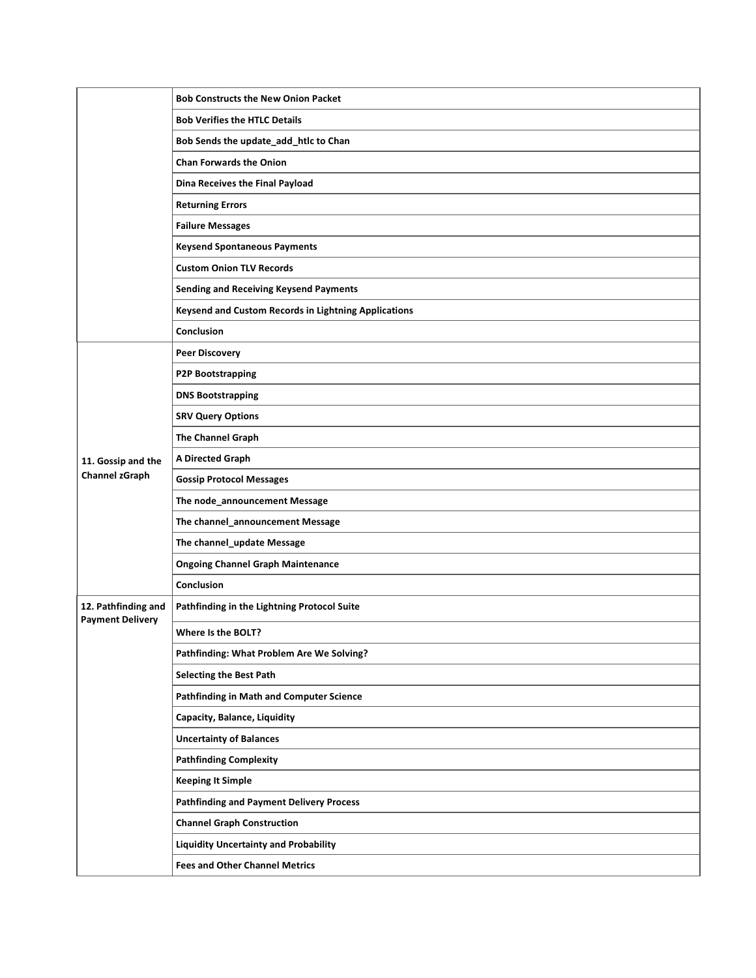|                                                | <b>Bob Constructs the New Onion Packet</b>           |
|------------------------------------------------|------------------------------------------------------|
|                                                | <b>Bob Verifies the HTLC Details</b>                 |
|                                                | Bob Sends the update_add_htlc to Chan                |
|                                                | <b>Chan Forwards the Onion</b>                       |
|                                                | Dina Receives the Final Payload                      |
|                                                | <b>Returning Errors</b>                              |
|                                                | <b>Failure Messages</b>                              |
|                                                | <b>Keysend Spontaneous Payments</b>                  |
|                                                | <b>Custom Onion TLV Records</b>                      |
|                                                | <b>Sending and Receiving Keysend Payments</b>        |
|                                                | Keysend and Custom Records in Lightning Applications |
|                                                | Conclusion                                           |
|                                                | <b>Peer Discovery</b>                                |
|                                                | <b>P2P Bootstrapping</b>                             |
|                                                | <b>DNS Bootstrapping</b>                             |
|                                                | <b>SRV Query Options</b>                             |
|                                                | <b>The Channel Graph</b>                             |
| 11. Gossip and the                             | <b>A Directed Graph</b>                              |
| <b>Channel zGraph</b>                          | <b>Gossip Protocol Messages</b>                      |
|                                                | The node_announcement Message                        |
|                                                | The channel_announcement Message                     |
|                                                | The channel_update Message                           |
|                                                | <b>Ongoing Channel Graph Maintenance</b>             |
|                                                | Conclusion                                           |
| 12. Pathfinding and<br><b>Payment Delivery</b> | Pathfinding in the Lightning Protocol Suite          |
|                                                | Where Is the BOLT?                                   |
|                                                | Pathfinding: What Problem Are We Solving?            |
|                                                | <b>Selecting the Best Path</b>                       |
|                                                | <b>Pathfinding in Math and Computer Science</b>      |
|                                                | Capacity, Balance, Liquidity                         |
|                                                | <b>Uncertainty of Balances</b>                       |
|                                                | <b>Pathfinding Complexity</b>                        |
|                                                | <b>Keeping It Simple</b>                             |
|                                                | <b>Pathfinding and Payment Delivery Process</b>      |
|                                                | <b>Channel Graph Construction</b>                    |
|                                                | <b>Liquidity Uncertainty and Probability</b>         |
|                                                | <b>Fees and Other Channel Metrics</b>                |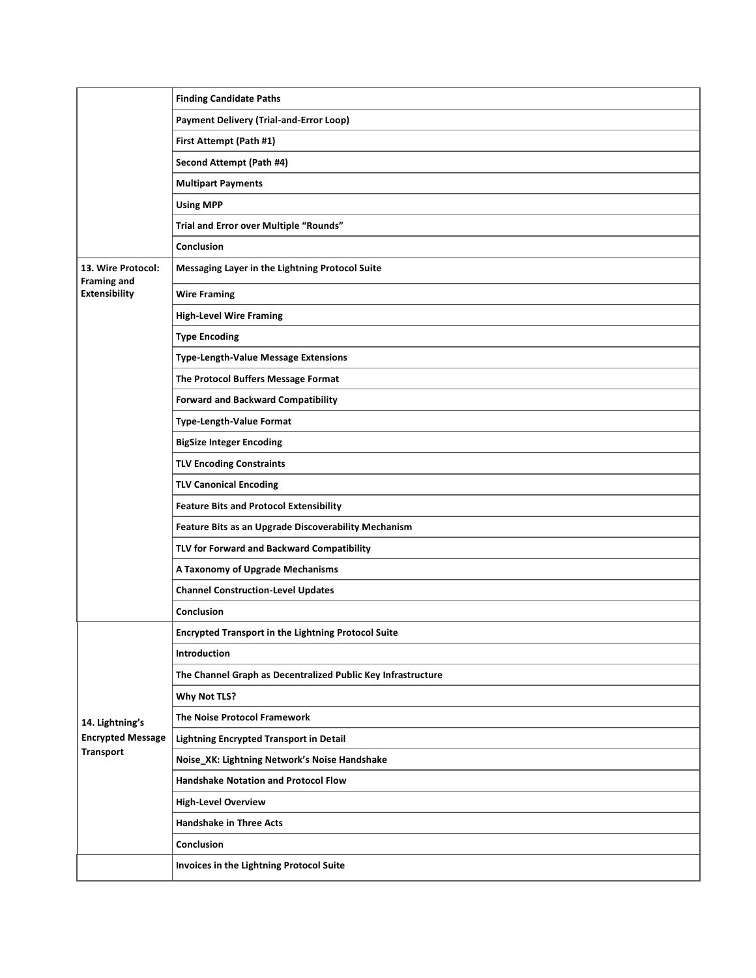|                                              | <b>Finding Candidate Paths</b>                               |
|----------------------------------------------|--------------------------------------------------------------|
|                                              | <b>Payment Delivery (Trial-and-Error Loop)</b>               |
|                                              | First Attempt (Path #1)                                      |
|                                              | Second Attempt (Path #4)                                     |
|                                              | <b>Multipart Payments</b>                                    |
|                                              | <b>Using MPP</b>                                             |
|                                              | Trial and Error over Multiple "Rounds"                       |
|                                              | Conclusion                                                   |
| 13. Wire Protocol:<br><b>Framing and</b>     | Messaging Layer in the Lightning Protocol Suite              |
| <b>Extensibility</b>                         | <b>Wire Framing</b>                                          |
|                                              | <b>High-Level Wire Framing</b>                               |
|                                              | <b>Type Encoding</b>                                         |
|                                              | <b>Type-Length-Value Message Extensions</b>                  |
|                                              | The Protocol Buffers Message Format                          |
|                                              | <b>Forward and Backward Compatibility</b>                    |
|                                              | <b>Type-Length-Value Format</b>                              |
|                                              | <b>BigSize Integer Encoding</b>                              |
|                                              | <b>TLV Encoding Constraints</b>                              |
|                                              | <b>TLV Canonical Encoding</b>                                |
|                                              | <b>Feature Bits and Protocol Extensibility</b>               |
|                                              | Feature Bits as an Upgrade Discoverability Mechanism         |
|                                              | TLV for Forward and Backward Compatibility                   |
|                                              | A Taxonomy of Upgrade Mechanisms                             |
|                                              | <b>Channel Construction-Level Updates</b>                    |
|                                              | Conclusion                                                   |
|                                              | <b>Encrypted Transport in the Lightning Protocol Suite</b>   |
|                                              | Introduction                                                 |
|                                              | The Channel Graph as Decentralized Public Key Infrastructure |
|                                              | <b>Why Not TLS?</b>                                          |
| 14. Lightning's                              | The Noise Protocol Framework                                 |
| <b>Encrypted Message</b><br><b>Transport</b> | <b>Lightning Encrypted Transport in Detail</b>               |
|                                              | Noise_XK: Lightning Network's Noise Handshake                |
|                                              | Handshake Notation and Protocol Flow                         |
|                                              | <b>High-Level Overview</b>                                   |
|                                              | <b>Handshake in Three Acts</b>                               |
|                                              | Conclusion                                                   |
|                                              | Invoices in the Lightning Protocol Suite                     |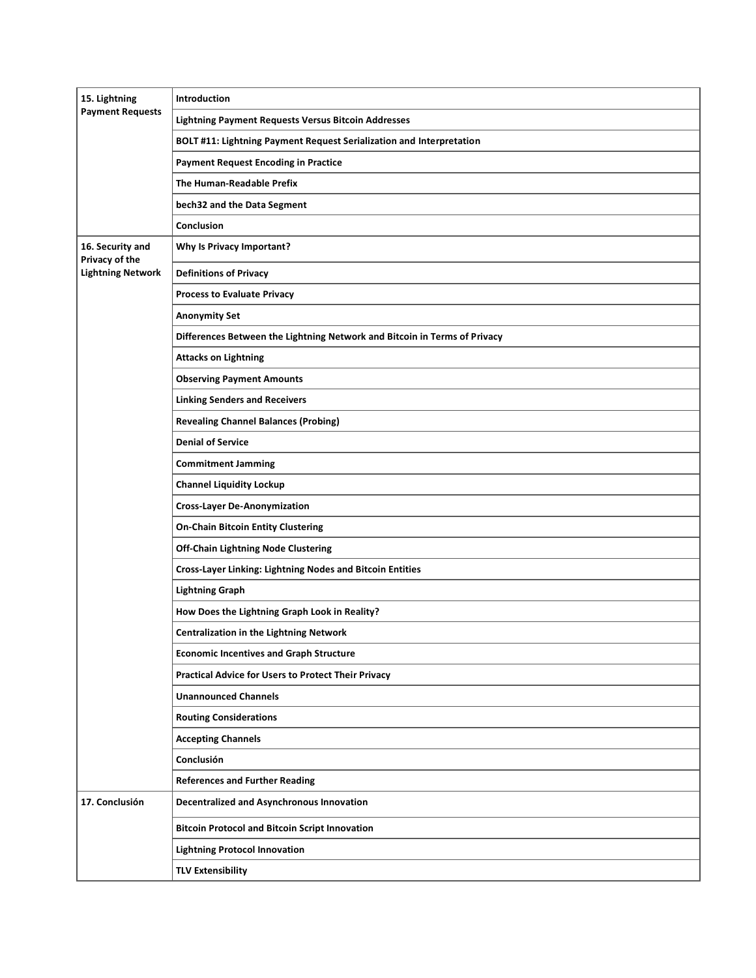| 15. Lightning<br><b>Payment Requests</b> | Introduction                                                              |
|------------------------------------------|---------------------------------------------------------------------------|
|                                          | <b>Lightning Payment Requests Versus Bitcoin Addresses</b>                |
|                                          | BOLT #11: Lightning Payment Request Serialization and Interpretation      |
|                                          | <b>Payment Request Encoding in Practice</b>                               |
|                                          | The Human-Readable Prefix                                                 |
|                                          | bech32 and the Data Segment                                               |
|                                          | Conclusion                                                                |
| 16. Security and<br>Privacy of the       | <b>Why Is Privacy Important?</b>                                          |
| <b>Lightning Network</b>                 | <b>Definitions of Privacy</b>                                             |
|                                          | <b>Process to Evaluate Privacy</b>                                        |
|                                          | <b>Anonymity Set</b>                                                      |
|                                          | Differences Between the Lightning Network and Bitcoin in Terms of Privacy |
|                                          | <b>Attacks on Lightning</b>                                               |
|                                          | <b>Observing Payment Amounts</b>                                          |
|                                          | <b>Linking Senders and Receivers</b>                                      |
|                                          | <b>Revealing Channel Balances (Probing)</b>                               |
|                                          | <b>Denial of Service</b>                                                  |
|                                          | <b>Commitment Jamming</b>                                                 |
|                                          | <b>Channel Liquidity Lockup</b>                                           |
|                                          | <b>Cross-Layer De-Anonymization</b>                                       |
|                                          | <b>On-Chain Bitcoin Entity Clustering</b>                                 |
|                                          | <b>Off-Chain Lightning Node Clustering</b>                                |
|                                          | <b>Cross-Layer Linking: Lightning Nodes and Bitcoin Entities</b>          |
|                                          | <b>Lightning Graph</b>                                                    |
|                                          | How Does the Lightning Graph Look in Reality?                             |
|                                          | <b>Centralization in the Lightning Network</b>                            |
|                                          | <b>Economic Incentives and Graph Structure</b>                            |
|                                          | <b>Practical Advice for Users to Protect Their Privacy</b>                |
|                                          | <b>Unannounced Channels</b>                                               |
|                                          | <b>Routing Considerations</b>                                             |
|                                          | <b>Accepting Channels</b>                                                 |
|                                          | Conclusión                                                                |
|                                          | <b>References and Further Reading</b>                                     |
| 17. Conclusión                           | <b>Decentralized and Asynchronous Innovation</b>                          |
|                                          | <b>Bitcoin Protocol and Bitcoin Script Innovation</b>                     |
|                                          | <b>Lightning Protocol Innovation</b>                                      |
|                                          | <b>TLV Extensibility</b>                                                  |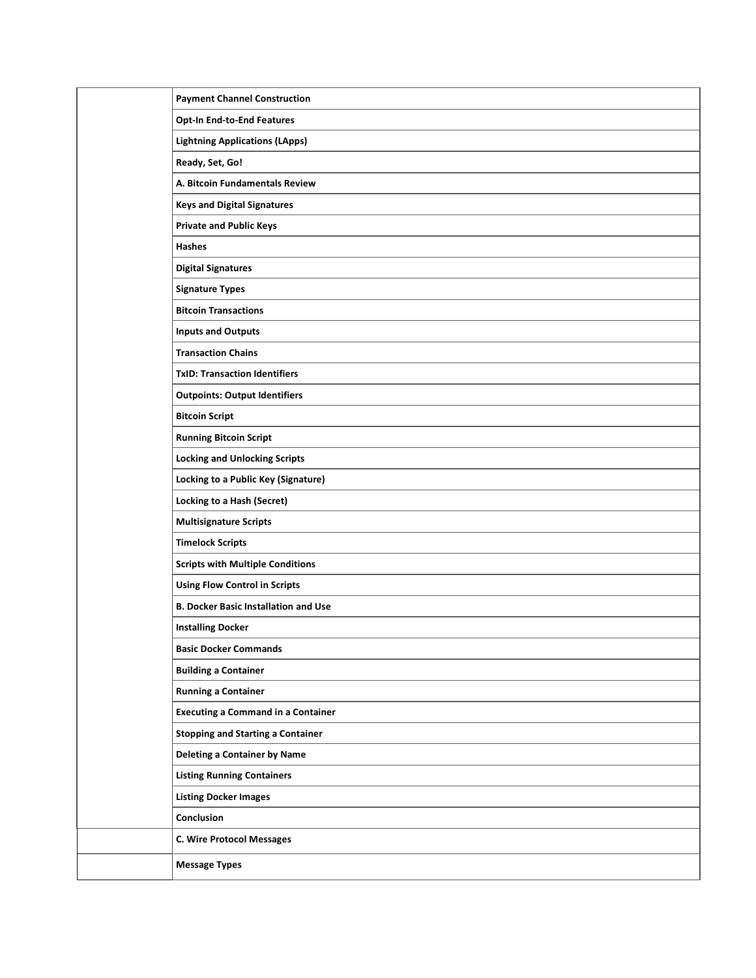| <b>Payment Channel Construction</b>         |
|---------------------------------------------|
| <b>Opt-In End-to-End Features</b>           |
| <b>Lightning Applications (LApps)</b>       |
| Ready, Set, Go!                             |
| A. Bitcoin Fundamentals Review              |
| <b>Keys and Digital Signatures</b>          |
| <b>Private and Public Keys</b>              |
| Hashes                                      |
| <b>Digital Signatures</b>                   |
| <b>Signature Types</b>                      |
| <b>Bitcoin Transactions</b>                 |
| <b>Inputs and Outputs</b>                   |
| <b>Transaction Chains</b>                   |
| <b>TxID: Transaction Identifiers</b>        |
| <b>Outpoints: Output Identifiers</b>        |
| <b>Bitcoin Script</b>                       |
| <b>Running Bitcoin Script</b>               |
| <b>Locking and Unlocking Scripts</b>        |
| Locking to a Public Key (Signature)         |
| Locking to a Hash (Secret)                  |
| <b>Multisignature Scripts</b>               |
| <b>Timelock Scripts</b>                     |
| <b>Scripts with Multiple Conditions</b>     |
| <b>Using Flow Control in Scripts</b>        |
| <b>B. Docker Basic Installation and Use</b> |
| <b>Installing Docker</b>                    |
| <b>Basic Docker Commands</b>                |
| <b>Building a Container</b>                 |
| <b>Running a Container</b>                  |
| <b>Executing a Command in a Container</b>   |
| <b>Stopping and Starting a Container</b>    |
| <b>Deleting a Container by Name</b>         |
| <b>Listing Running Containers</b>           |
| <b>Listing Docker Images</b>                |
| Conclusion                                  |
| <b>C. Wire Protocol Messages</b>            |
| <b>Message Types</b>                        |
|                                             |